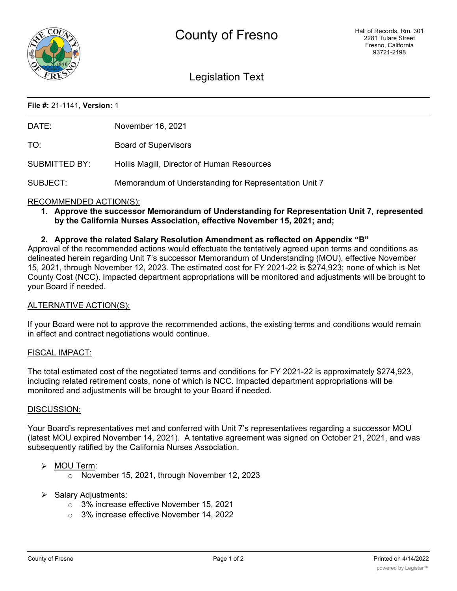

# Legislation Text

## **File #:** 21-1141, **Version:** 1

| DATE:                     | November 16, 2021                                     |
|---------------------------|-------------------------------------------------------|
| TO:                       | <b>Board of Supervisors</b>                           |
| SUBMITTED BY:             | Hollis Magill, Director of Human Resources            |
| SUBJECT:                  | Memorandum of Understanding for Representation Unit 7 |
| DEOOM ILIENDED A OTIONION |                                                       |

## RECOMMENDED ACTION(S):

**1. Approve the successor Memorandum of Understanding for Representation Unit 7, represented by the California Nurses Association, effective November 15, 2021; and;**

### **2. Approve the related Salary Resolution Amendment as reflected on Appendix "B"**

Approval of the recommended actions would effectuate the tentatively agreed upon terms and conditions as delineated herein regarding Unit 7's successor Memorandum of Understanding (MOU), effective November 15, 2021, through November 12, 2023. The estimated cost for FY 2021-22 is \$274,923; none of which is Net County Cost (NCC). Impacted department appropriations will be monitored and adjustments will be brought to your Board if needed.

#### ALTERNATIVE ACTION(S):

If your Board were not to approve the recommended actions, the existing terms and conditions would remain in effect and contract negotiations would continue.

#### FISCAL IMPACT:

The total estimated cost of the negotiated terms and conditions for FY 2021-22 is approximately \$274,923, including related retirement costs, none of which is NCC. Impacted department appropriations will be monitored and adjustments will be brought to your Board if needed.

#### DISCUSSION:

Your Board's representatives met and conferred with Unit 7's representatives regarding a successor MOU (latest MOU expired November 14, 2021). A tentative agreement was signed on October 21, 2021, and was subsequently ratified by the California Nurses Association.

#### $\triangleright$  MOU Term:

- o November 15, 2021, through November 12, 2023
- $\triangleright$  Salary Adjustments:
	- o 3% increase effective November 15, 2021
	- o 3% increase effective November 14, 2022